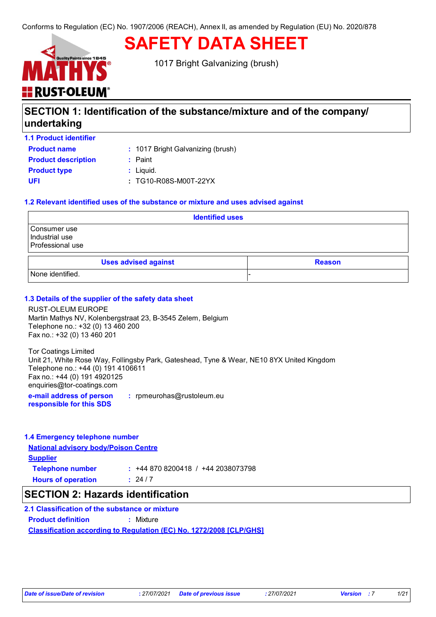# **SAFETY DATA SHEET**

1017 Bright Galvanizing (brush)

# **SECTION 1: Identification of the substance/mixture and of the company/ undertaking**

| <b>1.1 Product identifier</b> |                                   |
|-------------------------------|-----------------------------------|
| <b>Product name</b>           | : 1017 Bright Galvanizing (brush) |
| <b>Product description</b>    | $:$ Paint                         |
| <b>Product type</b>           | $:$ Liquid.                       |
| UFI                           | : TG10-R08S-M00T-22YX             |
|                               |                                   |

<del>H</del> RUST-OLEUM

#### **1.2 Relevant identified uses of the substance or mixture and uses advised against**

| <b>Identified uses</b>                             |                             |               |
|----------------------------------------------------|-----------------------------|---------------|
| Consumer use<br>Industrial use<br>Professional use |                             |               |
|                                                    | <b>Uses advised against</b> | <b>Reason</b> |
| None identified.                                   |                             |               |

#### **1.3 Details of the supplier of the safety data sheet**

RUST-OLEUM EUROPE Martin Mathys NV, Kolenbergstraat 23, B-3545 Zelem, Belgium Telephone no.: +32 (0) 13 460 200 Fax no.: +32 (0) 13 460 201

Tor Coatings Limited Unit 21, White Rose Way, Follingsby Park, Gateshead, Tyne & Wear, NE10 8YX United Kingdom Telephone no.: +44 (0) 191 4106611 Fax no.: +44 (0) 191 4920125 enquiries@tor-coatings.com

**e-mail address of person responsible for this SDS :** rpmeurohas@rustoleum.eu

#### **1.4 Emergency telephone number**

**National advisory body/Poison Centre**

**Supplier Hours of operation : Telephone number :** +44 870 8200418 / +44 2038073798  $: 24/7$ 

### **SECTION 2: Hazards identification**

#### **2.1 Classification of the substance or mixture**

**Classification according to Regulation (EC) No. 1272/2008 [CLP/GHS] Product definition :** Mixture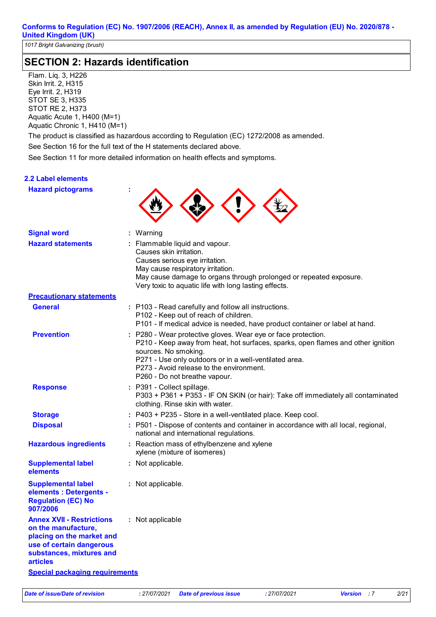# **SECTION 2: Hazards identification**

Flam. Liq. 3, H226 Skin Irrit. 2, H315 Eye Irrit. 2, H319 STOT SE 3, H335 STOT RE 2, H373 Aquatic Acute 1, H400 (M=1) Aquatic Chronic 1, H410 (M=1)

The product is classified as hazardous according to Regulation (EC) 1272/2008 as amended.

See Section 16 for the full text of the H statements declared above.

See Section 11 for more detailed information on health effects and symptoms.

#### **2.2 Label elements**

| <b>Hazard pictograms</b>                                                                                                                                        |                                                                                                                                                                                                                                                                                                                  |
|-----------------------------------------------------------------------------------------------------------------------------------------------------------------|------------------------------------------------------------------------------------------------------------------------------------------------------------------------------------------------------------------------------------------------------------------------------------------------------------------|
| <b>Signal word</b>                                                                                                                                              | : Warning                                                                                                                                                                                                                                                                                                        |
| <b>Hazard statements</b>                                                                                                                                        | : Flammable liquid and vapour.<br>Causes skin irritation.<br>Causes serious eye irritation.<br>May cause respiratory irritation.<br>May cause damage to organs through prolonged or repeated exposure.<br>Very toxic to aquatic life with long lasting effects.                                                  |
| <b>Precautionary statements</b>                                                                                                                                 |                                                                                                                                                                                                                                                                                                                  |
| <b>General</b>                                                                                                                                                  | : P103 - Read carefully and follow all instructions.<br>P102 - Keep out of reach of children.<br>P101 - If medical advice is needed, have product container or label at hand.                                                                                                                                    |
| <b>Prevention</b>                                                                                                                                               | : P280 - Wear protective gloves. Wear eye or face protection.<br>P210 - Keep away from heat, hot surfaces, sparks, open flames and other ignition<br>sources. No smoking.<br>P271 - Use only outdoors or in a well-ventilated area.<br>P273 - Avoid release to the environment.<br>P260 - Do not breathe vapour. |
| <b>Response</b>                                                                                                                                                 | : P391 - Collect spillage.<br>P303 + P361 + P353 - IF ON SKIN (or hair): Take off immediately all contaminated<br>clothing. Rinse skin with water.                                                                                                                                                               |
| <b>Storage</b>                                                                                                                                                  | : P403 + P235 - Store in a well-ventilated place. Keep cool.                                                                                                                                                                                                                                                     |
| <b>Disposal</b>                                                                                                                                                 | : P501 - Dispose of contents and container in accordance with all local, regional,<br>national and international regulations.                                                                                                                                                                                    |
| <b>Hazardous ingredients</b>                                                                                                                                    | : Reaction mass of ethylbenzene and xylene<br>xylene (mixture of isomeres)                                                                                                                                                                                                                                       |
| <b>Supplemental label</b><br>elements                                                                                                                           | : Not applicable.                                                                                                                                                                                                                                                                                                |
| <b>Supplemental label</b><br>elements : Detergents -<br><b>Regulation (EC) No</b><br>907/2006                                                                   | : Not applicable.                                                                                                                                                                                                                                                                                                |
| <b>Annex XVII - Restrictions</b><br>on the manufacture,<br>placing on the market and<br>use of certain dangerous<br>substances, mixtures and<br><b>articles</b> | : Not applicable                                                                                                                                                                                                                                                                                                 |
| <b>Special packaging requirements</b>                                                                                                                           |                                                                                                                                                                                                                                                                                                                  |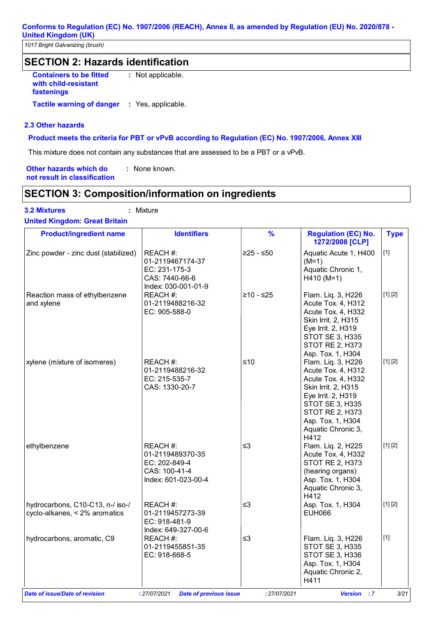*1017 Bright Galvanizing (brush)*

### **SECTION 2: Hazards identification**

**Containers to be fitted with child-resistant fastenings :** Not applicable.

**Tactile warning of danger : Yes, applicable.** 

#### **2.3 Other hazards**

#### **Product meets the criteria for PBT or vPvB according to Regulation (EC) No. 1907/2006, Annex XIII**

This mixture does not contain any substances that are assessed to be a PBT or a vPvB.

**Other hazards which do : not result in classification** : None known.

### **SECTION 3: Composition/information on ingredients**

### **3.2 Mixtures :** Mixture

| Mixtur |
|--------|
|        |

| <b>Product/ingredient name</b>                                    | <b>Identifiers</b>                                                                     | $\frac{9}{6}$ | <b>Regulation (EC) No.</b><br>1272/2008 [CLP]                                                                                                                                                               | <b>Type</b> |
|-------------------------------------------------------------------|----------------------------------------------------------------------------------------|---------------|-------------------------------------------------------------------------------------------------------------------------------------------------------------------------------------------------------------|-------------|
| Zinc powder - zinc dust (stabilized)                              | REACH #:<br>01-2119467174-37<br>EC: 231-175-3<br>CAS: 7440-66-6<br>Index: 030-001-01-9 | $≥25 - ≤50$   | Aquatic Acute 1, H400<br>$(M=1)$<br>Aquatic Chronic 1,<br>$H410 (M=1)$                                                                                                                                      | $[1]$       |
| Reaction mass of ethylbenzene<br>and xylene                       | REACH #:<br>01-2119488216-32<br>EC: 905-588-0                                          | $≥10 - ≤25$   | Flam. Liq. 3, H226<br>Acute Tox. 4, H312<br>Acute Tox. 4, H332<br>Skin Irrit. 2, H315<br>Eye Irrit. 2, H319<br><b>STOT SE 3, H335</b><br><b>STOT RE 2, H373</b><br>Asp. Tox. 1, H304                        | [1] [2]     |
| xylene (mixture of isomeres)                                      | REACH #:<br>01-2119488216-32<br>EC: 215-535-7<br>CAS: 1330-20-7                        | ≤10           | Flam. Liq. 3, H226<br>Acute Tox. 4, H312<br>Acute Tox. 4, H332<br>Skin Irrit. 2, H315<br>Eye Irrit. 2, H319<br>STOT SE 3, H335<br><b>STOT RE 2, H373</b><br>Asp. Tox. 1, H304<br>Aquatic Chronic 3,<br>H412 | [1] [2]     |
| ethylbenzene                                                      | REACH #:<br>01-2119489370-35<br>EC: 202-849-4<br>CAS: 100-41-4<br>Index: 601-023-00-4  | $\leq$ 3      | Flam. Liq. 2, H225<br>Acute Tox. 4, H332<br><b>STOT RE 2, H373</b><br>(hearing organs)<br>Asp. Tox. 1, H304<br>Aquatic Chronic 3,<br>H412                                                                   | [1] [2]     |
| hydrocarbons, C10-C13, n-/ iso-/<br>cyclo-alkanes, < 2% aromatics | REACH #:<br>01-2119457273-39<br>EC: 918-481-9<br>Index: 649-327-00-6                   | $\leq$ 3      | Asp. Tox. 1, H304<br><b>EUH066</b>                                                                                                                                                                          | [1] [2]     |
| hydrocarbons, aromatic, C9                                        | REACH #:<br>01-2119455851-35<br>EC: 918-668-5                                          | $\leq$ 3      | Flam. Liq. 3, H226<br><b>STOT SE 3, H335</b><br>STOT SE 3, H336<br>Asp. Tox. 1, H304<br>Aquatic Chronic 2,<br>H411                                                                                          | $[1]$       |
| <b>Date of issue/Date of revision</b>                             | : 27/07/2021<br><b>Date of previous issue</b>                                          | : 27/07/2021  | Version : 7                                                                                                                                                                                                 | 3/21        |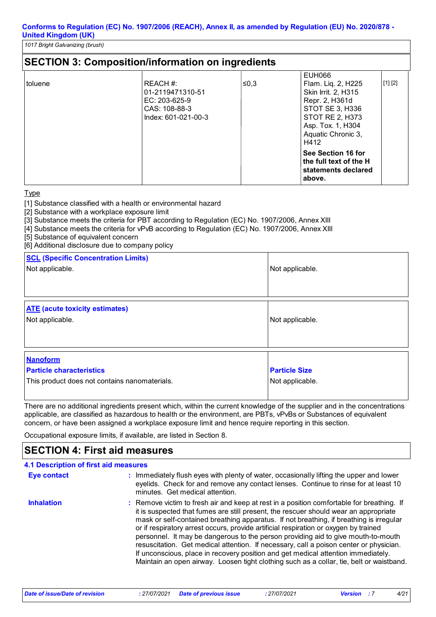*1017 Bright Galvanizing (brush)*

|         | <b>SECTION 3: Composition/information on ingredients</b>                              |      |                                                                                                                                                                              |         |
|---------|---------------------------------------------------------------------------------------|------|------------------------------------------------------------------------------------------------------------------------------------------------------------------------------|---------|
| toluene | REACH #:<br>01-2119471310-51<br>EC: 203-625-9<br>CAS: 108-88-3<br>Index: 601-021-00-3 | ≰0,3 | <b>EUH066</b><br>Flam. Liq. 2, H225<br>Skin Irrit. 2, H315<br>Repr. 2, H361d<br>STOT SE 3, H336<br><b>STOT RE 2, H373</b><br>Asp. Tox. 1, H304<br>Aquatic Chronic 3,<br>H412 | [1] [2] |
|         |                                                                                       |      | See Section 16 for<br>the full text of the H<br>statements declared<br>above.                                                                                                |         |

#### Type

[1] Substance classified with a health or environmental hazard

[2] Substance with a workplace exposure limit

[3] Substance meets the criteria for PBT according to Regulation (EC) No. 1907/2006, Annex XIII

[4] Substance meets the criteria for vPvB according to Regulation (EC) No. 1907/2006, Annex XIII

[5] Substance of equivalent concern

[6] Additional disclosure due to company policy

| <b>SCL (Specific Concentration Limits)</b><br>Not applicable.                                       | Not applicable.                         |
|-----------------------------------------------------------------------------------------------------|-----------------------------------------|
| <b>ATE</b> (acute toxicity estimates)<br>Not applicable.                                            | Not applicable.                         |
| <b>Nanoform</b><br><b>Particle characteristics</b><br>This product does not contains nanomaterials. | <b>Particle Size</b><br>Not applicable. |

There are no additional ingredients present which, within the current knowledge of the supplier and in the concentrations applicable, are classified as hazardous to health or the environment, are PBTs, vPvBs or Substances of equivalent concern, or have been assigned a workplace exposure limit and hence require reporting in this section.

Occupational exposure limits, if available, are listed in Section 8.

### **SECTION 4: First aid measures**

| 4.1 Description of first aid measures |                                                                                                                                                                                                                                                                                                                                                                                                                                                                                                                                                                                                                                                                                                                                      |
|---------------------------------------|--------------------------------------------------------------------------------------------------------------------------------------------------------------------------------------------------------------------------------------------------------------------------------------------------------------------------------------------------------------------------------------------------------------------------------------------------------------------------------------------------------------------------------------------------------------------------------------------------------------------------------------------------------------------------------------------------------------------------------------|
| <b>Eye contact</b>                    | : Immediately flush eyes with plenty of water, occasionally lifting the upper and lower<br>eyelids. Check for and remove any contact lenses. Continue to rinse for at least 10<br>minutes. Get medical attention.                                                                                                                                                                                                                                                                                                                                                                                                                                                                                                                    |
| <b>Inhalation</b>                     | : Remove victim to fresh air and keep at rest in a position comfortable for breathing. If<br>it is suspected that fumes are still present, the rescuer should wear an appropriate<br>mask or self-contained breathing apparatus. If not breathing, if breathing is irregular<br>or if respiratory arrest occurs, provide artificial respiration or oxygen by trained<br>personnel. It may be dangerous to the person providing aid to give mouth-to-mouth<br>resuscitation. Get medical attention. If necessary, call a poison center or physician.<br>If unconscious, place in recovery position and get medical attention immediately.<br>Maintain an open airway. Loosen tight clothing such as a collar, tie, belt or waistband. |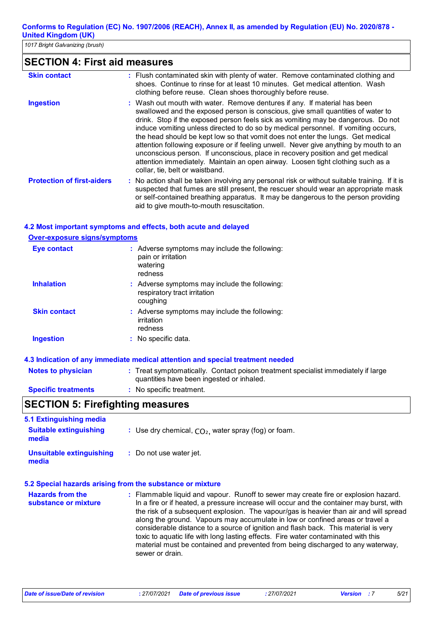*1017 Bright Galvanizing (brush)*

# **SECTION 4: First aid measures**

| <b>Skin contact</b>               | : Flush contaminated skin with plenty of water. Remove contaminated clothing and<br>shoes. Continue to rinse for at least 10 minutes. Get medical attention. Wash<br>clothing before reuse. Clean shoes thoroughly before reuse.                                                                                                                                                                                                                                                                                                                                                                                                                                                                                             |
|-----------------------------------|------------------------------------------------------------------------------------------------------------------------------------------------------------------------------------------------------------------------------------------------------------------------------------------------------------------------------------------------------------------------------------------------------------------------------------------------------------------------------------------------------------------------------------------------------------------------------------------------------------------------------------------------------------------------------------------------------------------------------|
| <b>Ingestion</b>                  | : Wash out mouth with water. Remove dentures if any. If material has been<br>swallowed and the exposed person is conscious, give small quantities of water to<br>drink. Stop if the exposed person feels sick as vomiting may be dangerous. Do not<br>induce vomiting unless directed to do so by medical personnel. If vomiting occurs,<br>the head should be kept low so that vomit does not enter the lungs. Get medical<br>attention following exposure or if feeling unwell. Never give anything by mouth to an<br>unconscious person. If unconscious, place in recovery position and get medical<br>attention immediately. Maintain an open airway. Loosen tight clothing such as a<br>collar, tie, belt or waistband. |
| <b>Protection of first-aiders</b> | : No action shall be taken involving any personal risk or without suitable training. If it is<br>suspected that fumes are still present, the rescuer should wear an appropriate mask<br>or self-contained breathing apparatus. It may be dangerous to the person providing<br>aid to give mouth-to-mouth resuscitation.                                                                                                                                                                                                                                                                                                                                                                                                      |

### **4.2 Most important symptoms and effects, both acute and delayed**

| <b>Over-exposure signs/symptoms</b> |                                                                                            |
|-------------------------------------|--------------------------------------------------------------------------------------------|
| <b>Eye contact</b>                  | : Adverse symptoms may include the following:<br>pain or irritation<br>watering<br>redness |
| <b>Inhalation</b>                   | : Adverse symptoms may include the following:<br>respiratory tract irritation<br>coughing  |
| <b>Skin contact</b>                 | : Adverse symptoms may include the following:<br>irritation<br>redness                     |
| <b>Ingestion</b>                    | : No specific data.                                                                        |

#### **Notes to physician** : Treat symptomatically. Contact poison treatment specialist immediately if large quantities have been ingested or inhaled. **Specific treatments 4.3 Indication of any immediate medical attention and special treatment needed :** No specific treatment.

### **SECTION 5: Firefighting measures**

| 5.1 Extinguishing media<br><b>Suitable extinguishing</b><br>media | : Use dry chemical, $CO2$ , water spray (fog) or foam. |
|-------------------------------------------------------------------|--------------------------------------------------------|
| Unsuitable extinguishing<br>media                                 | : Do not use water jet.                                |

#### **5.2 Special hazards arising from the substance or mixture**

| <b>Hazards from the</b><br>substance or mixture | : Flammable liquid and vapour. Runoff to sewer may create fire or explosion hazard.<br>In a fire or if heated, a pressure increase will occur and the container may burst, with                                                                                                 |
|-------------------------------------------------|---------------------------------------------------------------------------------------------------------------------------------------------------------------------------------------------------------------------------------------------------------------------------------|
|                                                 | the risk of a subsequent explosion. The vapour/gas is heavier than air and will spread<br>along the ground. Vapours may accumulate in low or confined areas or travel a                                                                                                         |
|                                                 | considerable distance to a source of ignition and flash back. This material is very<br>toxic to aquatic life with long lasting effects. Fire water contaminated with this<br>material must be contained and prevented from being discharged to any waterway,<br>sewer or drain. |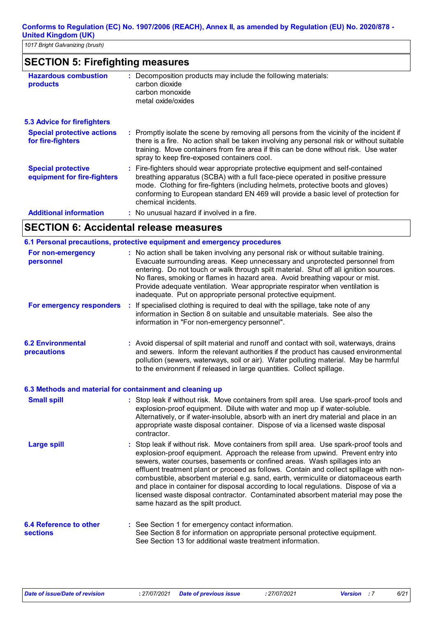*1017 Bright Galvanizing (brush)*

### **SECTION 5: Firefighting measures**

| <b>Hazardous combustion</b><br>products                  | : Decomposition products may include the following materials:<br>carbon dioxide<br>carbon monoxide<br>metal oxide/oxides                                                                                                                                                                                                                                              |
|----------------------------------------------------------|-----------------------------------------------------------------------------------------------------------------------------------------------------------------------------------------------------------------------------------------------------------------------------------------------------------------------------------------------------------------------|
| <b>5.3 Advice for firefighters</b>                       |                                                                                                                                                                                                                                                                                                                                                                       |
| <b>Special protective actions</b><br>for fire-fighters   | : Promptly isolate the scene by removing all persons from the vicinity of the incident if<br>there is a fire. No action shall be taken involving any personal risk or without suitable<br>training. Move containers from fire area if this can be done without risk. Use water<br>spray to keep fire-exposed containers cool.                                         |
| <b>Special protective</b><br>equipment for fire-fighters | : Fire-fighters should wear appropriate protective equipment and self-contained<br>breathing apparatus (SCBA) with a full face-piece operated in positive pressure<br>mode. Clothing for fire-fighters (including helmets, protective boots and gloves)<br>conforming to European standard EN 469 will provide a basic level of protection for<br>chemical incidents. |
| <b>Additional information</b>                            | : No unusual hazard if involved in a fire.                                                                                                                                                                                                                                                                                                                            |
|                                                          |                                                                                                                                                                                                                                                                                                                                                                       |

#### **SECTION 6: Accidental release measures**

|                                         | 6.1 Personal precautions, protective equipment and emergency procedures                                                                                                                                                                                                                                                                                                                                                                                                                        |
|-----------------------------------------|------------------------------------------------------------------------------------------------------------------------------------------------------------------------------------------------------------------------------------------------------------------------------------------------------------------------------------------------------------------------------------------------------------------------------------------------------------------------------------------------|
| For non-emergency<br>personnel          | : No action shall be taken involving any personal risk or without suitable training.<br>Evacuate surrounding areas. Keep unnecessary and unprotected personnel from<br>entering. Do not touch or walk through spilt material. Shut off all ignition sources.<br>No flares, smoking or flames in hazard area. Avoid breathing vapour or mist.<br>Provide adequate ventilation. Wear appropriate respirator when ventilation is<br>inadequate. Put on appropriate personal protective equipment. |
| For emergency responders                | : If specialised clothing is required to deal with the spillage, take note of any<br>information in Section 8 on suitable and unsuitable materials. See also the<br>information in "For non-emergency personnel".                                                                                                                                                                                                                                                                              |
| <b>6.2 Environmental</b><br>precautions | : Avoid dispersal of spilt material and runoff and contact with soil, waterways, drains<br>and sewers. Inform the relevant authorities if the product has caused environmental<br>pollution (sewers, waterways, soil or air). Water polluting material. May be harmful<br>to the environment if released in large quantities. Collect spillage.                                                                                                                                                |
|                                         | 6.3 Methods and material for containment and cleaning up                                                                                                                                                                                                                                                                                                                                                                                                                                       |
| <b>Small spill</b>                      | : Stop leak if without risk. Move containers from spill area. Use spark-proof tools and<br>explosion-proof equipment. Dilute with water and mop up if water-soluble.<br>Alternatively, or if water-insoluble, absorb with an inert dry material and place in an<br>appropriate waste disposal container. Dispose of via a licensed waste disposal<br>contractor.                                                                                                                               |
| Largo chill                             | . Stop look if without rick Move containers from spill area. Hee spark proof tools and                                                                                                                                                                                                                                                                                                                                                                                                         |

: Stop leak if without risk. Move containers from spill area. Use spark-proof tools and explosion-proof equipment. Approach the release from upwind. Prevent entry into sewers, water courses, basements or confined areas. Wash spillages into an effluent treatment plant or proceed as follows. Contain and collect spillage with noncombustible, absorbent material e.g. sand, earth, vermiculite or diatomaceous earth and place in container for disposal according to local regulations. Dispose of via a licensed waste disposal contractor. Contaminated absorbent material may pose the same hazard as the spilt product. **Large spill :**

#### **6.4 Reference to other sections** See Section 1 for emergency contact information. **:** See Section 8 for information on appropriate personal protective equipment. See Section 13 for additional waste treatment information.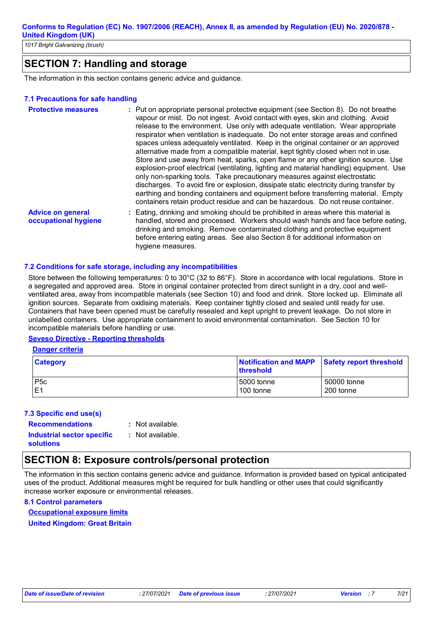*1017 Bright Galvanizing (brush)*

# **SECTION 7: Handling and storage**

The information in this section contains generic advice and guidance.

#### **7.1 Precautions for safe handling**

| <b>Protective measures</b>                       | : Put on appropriate personal protective equipment (see Section 8). Do not breathe<br>vapour or mist. Do not ingest. Avoid contact with eyes, skin and clothing. Avoid<br>release to the environment. Use only with adequate ventilation. Wear appropriate<br>respirator when ventilation is inadequate. Do not enter storage areas and confined<br>spaces unless adequately ventilated. Keep in the original container or an approved<br>alternative made from a compatible material, kept tightly closed when not in use.<br>Store and use away from heat, sparks, open flame or any other ignition source. Use<br>explosion-proof electrical (ventilating, lighting and material handling) equipment. Use<br>only non-sparking tools. Take precautionary measures against electrostatic<br>discharges. To avoid fire or explosion, dissipate static electricity during transfer by<br>earthing and bonding containers and equipment before transferring material. Empty<br>containers retain product residue and can be hazardous. Do not reuse container. |
|--------------------------------------------------|---------------------------------------------------------------------------------------------------------------------------------------------------------------------------------------------------------------------------------------------------------------------------------------------------------------------------------------------------------------------------------------------------------------------------------------------------------------------------------------------------------------------------------------------------------------------------------------------------------------------------------------------------------------------------------------------------------------------------------------------------------------------------------------------------------------------------------------------------------------------------------------------------------------------------------------------------------------------------------------------------------------------------------------------------------------|
| <b>Advice on general</b><br>occupational hygiene | : Eating, drinking and smoking should be prohibited in areas where this material is<br>handled, stored and processed. Workers should wash hands and face before eating,<br>drinking and smoking. Remove contaminated clothing and protective equipment<br>before entering eating areas. See also Section 8 for additional information on<br>hygiene measures.                                                                                                                                                                                                                                                                                                                                                                                                                                                                                                                                                                                                                                                                                                 |

#### **7.2 Conditions for safe storage, including any incompatibilities**

Store between the following temperatures: 0 to 30°C (32 to 86°F). Store in accordance with local regulations. Store in a segregated and approved area. Store in original container protected from direct sunlight in a dry, cool and wellventilated area, away from incompatible materials (see Section 10) and food and drink. Store locked up. Eliminate all ignition sources. Separate from oxidising materials. Keep container tightly closed and sealed until ready for use. Containers that have been opened must be carefully resealed and kept upright to prevent leakage. Do not store in unlabelled containers. Use appropriate containment to avoid environmental contamination. See Section 10 for incompatible materials before handling or use.

#### **Seveso Directive - Reporting thresholds**

#### **Danger criteria**

| <b>Category</b>  | Notification and MAPP<br><b>Ithreshold</b> | Safety report threshold |
|------------------|--------------------------------------------|-------------------------|
| P <sub>5</sub> c | 5000 tonne                                 | 50000 tonne             |
| E1               | 100 tonne                                  | 200 tonne               |

#### **7.3 Specific end use(s)**

**solutions**

#### **Recommendations : Industrial sector specific :**

- : Not available.
- : Not available.

# **SECTION 8: Exposure controls/personal protection**

The information in this section contains generic advice and guidance. Information is provided based on typical anticipated uses of the product. Additional measures might be required for bulk handling or other uses that could significantly increase worker exposure or environmental releases.

#### **8.1 Control parameters**

**Occupational exposure limits**

**United Kingdom: Great Britain**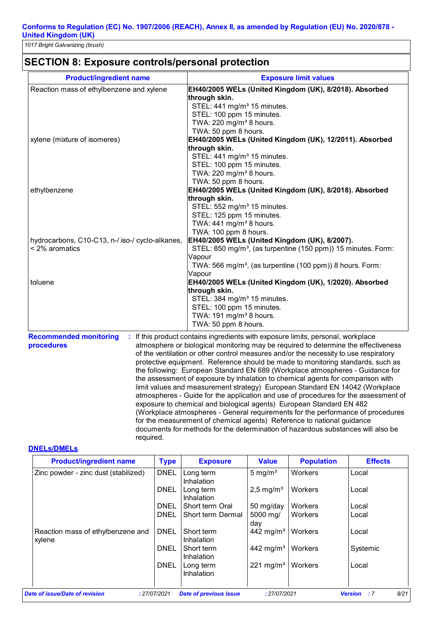# **SECTION 8: Exposure controls/personal protection**

| <b>Product/ingredient name</b>                  | <b>Exposure limit values</b>                                              |
|-------------------------------------------------|---------------------------------------------------------------------------|
| Reaction mass of ethylbenzene and xylene        | EH40/2005 WELs (United Kingdom (UK), 8/2018). Absorbed                    |
|                                                 | through skin.                                                             |
|                                                 | STEL: 441 mg/m <sup>3</sup> 15 minutes.                                   |
|                                                 | STEL: 100 ppm 15 minutes.                                                 |
|                                                 | TWA: 220 mg/m <sup>3</sup> 8 hours.                                       |
|                                                 | TWA: 50 ppm 8 hours.                                                      |
| xylene (mixture of isomeres)                    | EH40/2005 WELs (United Kingdom (UK), 12/2011). Absorbed                   |
|                                                 | through skin.                                                             |
|                                                 | STEL: 441 mg/m <sup>3</sup> 15 minutes.                                   |
|                                                 | STEL: 100 ppm 15 minutes.                                                 |
|                                                 | TWA: 220 mg/m <sup>3</sup> 8 hours.                                       |
|                                                 | TWA: 50 ppm 8 hours.                                                      |
| ethylbenzene                                    | EH40/2005 WELs (United Kingdom (UK), 8/2018). Absorbed                    |
|                                                 | through skin.                                                             |
|                                                 | STEL: 552 mg/m <sup>3</sup> 15 minutes.                                   |
|                                                 | STEL: 125 ppm 15 minutes.                                                 |
|                                                 | TWA: 441 mg/m <sup>3</sup> 8 hours.                                       |
|                                                 | TWA: 100 ppm 8 hours.                                                     |
| hydrocarbons, C10-C13, n-/ iso-/ cyclo-alkanes, | EH40/2005 WELs (United Kingdom (UK), 8/2007).                             |
| < 2% aromatics                                  | STEL: 850 mg/m <sup>3</sup> , (as turpentine (150 ppm)) 15 minutes. Form: |
|                                                 | Vapour                                                                    |
|                                                 | TWA: 566 mg/m <sup>3</sup> , (as turpentine (100 ppm)) 8 hours. Form:     |
| toluene                                         | Vapour                                                                    |
|                                                 | EH40/2005 WELs (United Kingdom (UK), 1/2020). Absorbed                    |
|                                                 | through skin.                                                             |
|                                                 | STEL: 384 mg/m <sup>3</sup> 15 minutes.<br>STEL: 100 ppm 15 minutes.      |
|                                                 | TWA: 191 mg/m <sup>3</sup> 8 hours.                                       |
|                                                 | TWA: 50 ppm 8 hours.                                                      |
|                                                 |                                                                           |

**Recommended monitoring : If this product contains ingredients with exposure limits, personal, workplace procedures** atmosphere or biological monitoring may be required to determine the effectiveness of the ventilation or other control measures and/or the necessity to use respiratory protective equipment. Reference should be made to monitoring standards, such as the following: European Standard EN 689 (Workplace atmospheres - Guidance for the assessment of exposure by inhalation to chemical agents for comparison with limit values and measurement strategy) European Standard EN 14042 (Workplace atmospheres - Guide for the application and use of procedures for the assessment of exposure to chemical and biological agents) European Standard EN 482 (Workplace atmospheres - General requirements for the performance of procedures for the measurement of chemical agents) Reference to national guidance documents for methods for the determination of hazardous substances will also be required.

#### **DNELs/DMELs**

| <b>Product/ingredient name</b>              | <b>Type</b>  | <b>Exposure</b>                       | <b>Value</b>          | <b>Population</b> | <b>Effects</b>               |
|---------------------------------------------|--------------|---------------------------------------|-----------------------|-------------------|------------------------------|
| Zinc powder - zinc dust (stabilized)        | <b>DNEL</b>  | Long term                             | $5 \,\mathrm{mg/m^3}$ | <b>Workers</b>    | Local                        |
|                                             | <b>DNEL</b>  | Inhalation<br>Long term<br>Inhalation | $2.5 \text{ mg/m}^3$  | Workers           | Local                        |
|                                             | <b>DNEL</b>  | Short term Oral                       | 50 mg/day             | Workers           | Local                        |
|                                             | <b>DNEL</b>  | Short term Dermal                     | 5000 mg/<br>day       | Workers           | Local                        |
| Reaction mass of ethylbenzene and<br>xylene | <b>DNEL</b>  | Short term<br>Inhalation              | 442 mg/m <sup>3</sup> | Workers           | Local                        |
|                                             | <b>DNEL</b>  | Short term<br>Inhalation              | 442 mg/m <sup>3</sup> | Workers           | Systemic                     |
|                                             | <b>DNEL</b>  | Long term<br>Inhalation               | 221 mg/m <sup>3</sup> | Workers           | Local                        |
| ate of issue/Date of revision               | : 27/07/2021 | <b>Date of previous issue</b>         | : 27/07/2021          |                   | 8/21<br><b>Version</b><br>:7 |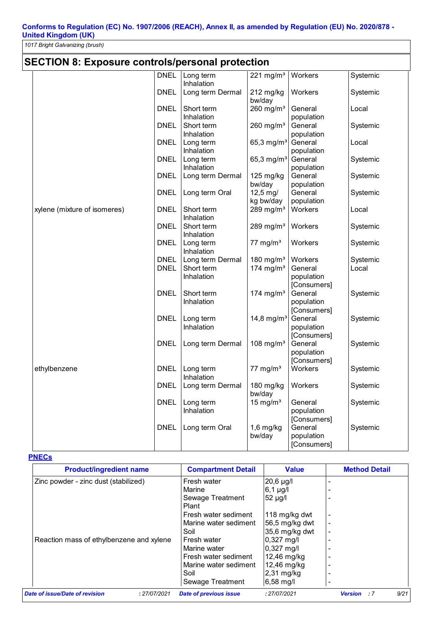*1017 Bright Galvanizing (brush)*

# **SECTION 8: Exposure controls/personal protection**

|                              | <b>DNEL</b> | Long term<br>Inhalation  | $221 \text{ mg/m}^3$    | Workers                | Systemic |
|------------------------------|-------------|--------------------------|-------------------------|------------------------|----------|
|                              | <b>DNEL</b> | Long term Dermal         | 212 mg/kg<br>bw/day     | Workers                | Systemic |
|                              | <b>DNEL</b> | Short term               | $260$ mg/m <sup>3</sup> | General                | Local    |
|                              |             | Inhalation               |                         | population             |          |
|                              | <b>DNEL</b> | Short term<br>Inhalation | $260$ mg/m <sup>3</sup> | General<br>population  | Systemic |
|                              | <b>DNEL</b> | Long term                | 65,3 mg/m <sup>3</sup>  | General                | Local    |
|                              |             | Inhalation               |                         | population             |          |
|                              | <b>DNEL</b> | Long term                | 65,3 mg/ $m^3$          | General                | Systemic |
|                              |             | Inhalation               |                         | population             |          |
|                              | <b>DNEL</b> | Long term Dermal         | 125 mg/kg               | General                | Systemic |
|                              |             |                          | bw/day                  | population             |          |
|                              | <b>DNEL</b> | Long term Oral           | $12,5 \text{ mg}$       | General                | Systemic |
|                              |             |                          | kg bw/day               | population             |          |
| xylene (mixture of isomeres) | <b>DNEL</b> | Short term               | 289 mg/ $m3$            | Workers                | Local    |
|                              | <b>DNEL</b> | Inhalation<br>Short term | 289 mg/ $m3$            | Workers                | Systemic |
|                              |             | Inhalation               |                         |                        |          |
|                              | <b>DNEL</b> | Long term                | 77 mg/ $m3$             | Workers                | Systemic |
|                              |             | Inhalation               |                         |                        |          |
|                              | <b>DNEL</b> | Long term Dermal         | 180 mg/ $m3$            | Workers                | Systemic |
|                              | <b>DNEL</b> | Short term               | 174 mg/m $3$            | General                | Local    |
|                              |             | Inhalation               |                         | population             |          |
|                              |             |                          |                         | [Consumers]            |          |
|                              | <b>DNEL</b> | Short term               | 174 mg/m <sup>3</sup>   | General                | Systemic |
|                              |             | Inhalation               |                         | population             |          |
|                              | <b>DNEL</b> | Long term                | 14,8 mg/ $m^3$          | [Consumers]<br>General | Systemic |
|                              |             | Inhalation               |                         | population             |          |
|                              |             |                          |                         | [Consumers]            |          |
|                              | <b>DNEL</b> | Long term Dermal         | 108 mg/ $m3$            | General                | Systemic |
|                              |             |                          |                         | population             |          |
|                              |             |                          |                         | [Consumers]            |          |
| ethylbenzene                 | <b>DNEL</b> | Long term                | $77$ mg/m <sup>3</sup>  | Workers                | Systemic |
|                              |             | Inhalation               |                         |                        |          |
|                              | <b>DNEL</b> | Long term Dermal         | 180 mg/kg<br>bw/day     | Workers                | Systemic |
|                              | <b>DNEL</b> | Long term                | 15 mg/ $m3$             | General                | Systemic |
|                              |             | Inhalation               |                         | population             |          |
|                              |             |                          |                         | [Consumers]            |          |
|                              | <b>DNEL</b> | Long term Oral           | $1,6$ mg/kg             | General                | Systemic |
|                              |             |                          | bw/day                  | population             |          |
|                              |             |                          |                         | [Consumers]            |          |

#### **PNECs**

| <b>Product/ingredient name</b>                 | <b>Compartment Detail</b>     | <b>Value</b>           | <b>Method Detail</b>                |
|------------------------------------------------|-------------------------------|------------------------|-------------------------------------|
| Zinc powder - zinc dust (stabilized)           | Fresh water                   | $20,6 \mu g/l$         |                                     |
|                                                | Marine                        | $6,1 \mu g/l$          |                                     |
|                                                | Sewage Treatment              | 52 µg/l                |                                     |
|                                                | Plant                         |                        |                                     |
|                                                | Fresh water sediment          | 118 mg/kg dwt          | ۰                                   |
|                                                | Marine water sediment         | 56,5 mg/kg dwt         | $\overline{\phantom{0}}$            |
|                                                | Soil                          | 35,6 mg/kg dwt         |                                     |
| Reaction mass of ethylbenzene and xylene       | Fresh water                   | 0,327 mg/l             |                                     |
|                                                | Marine water                  | $0,327$ mg/l           |                                     |
|                                                | Fresh water sediment          | 12,46 mg/kg            |                                     |
|                                                | Marine water sediment         | 12,46 mg/kg            |                                     |
|                                                | Soil                          | $2,31$ mg/kg           |                                     |
|                                                | Sewage Treatment              | $6,58 \,\mathrm{mg}/l$ | -                                   |
| Date of issue/Date of revision<br>: 27/07/2021 | <b>Date of previous issue</b> | : 27/07/2021           | 9/21<br><b>Version</b><br>$\cdot$ 7 |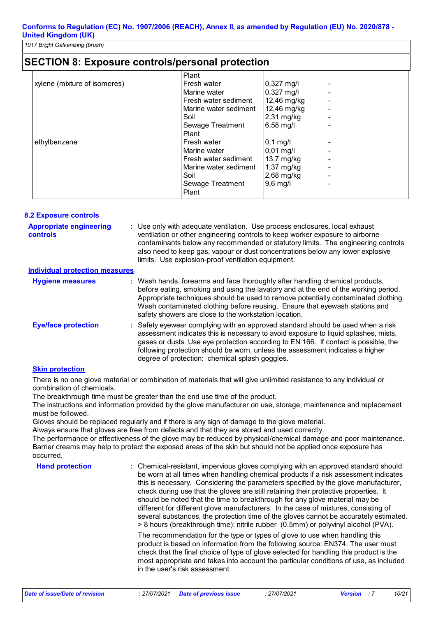### **SECTION 8: Exposure controls/personal protection**

|                              | Plant                 |                        |  |
|------------------------------|-----------------------|------------------------|--|
| xylene (mixture of isomeres) | Fresh water           | $0,327 \text{ mg/l}$   |  |
|                              | Marine water          | $0,327$ mg/l           |  |
|                              | Fresh water sediment  | 12,46 mg/kg            |  |
|                              | Marine water sediment | 12,46 mg/kg            |  |
|                              | Soil                  | $2,31$ mg/kg           |  |
|                              | Sewage Treatment      | 6,58 mg/l              |  |
|                              | Plant                 |                        |  |
| ethylbenzene                 | Fresh water           | $0,1$ mg/l             |  |
|                              | Marine water          | $0,01 \,\mathrm{mg/l}$ |  |
|                              | Fresh water sediment  | 13,7 mg/kg             |  |
|                              | Marine water sediment | $1,37$ mg/kg           |  |
|                              | Soil                  | 2,68 mg/kg             |  |
|                              | Sewage Treatment      | $9,6$ mg/l             |  |
|                              | Plant                 |                        |  |

| <b>8.2 Exposure controls</b>                      |                                                                                                                                                                                                                                                                                                                                                                                                   |
|---------------------------------------------------|---------------------------------------------------------------------------------------------------------------------------------------------------------------------------------------------------------------------------------------------------------------------------------------------------------------------------------------------------------------------------------------------------|
| <b>Appropriate engineering</b><br><b>controls</b> | : Use only with adequate ventilation. Use process enclosures, local exhaust<br>ventilation or other engineering controls to keep worker exposure to airborne<br>contaminants below any recommended or statutory limits. The engineering controls<br>also need to keep gas, vapour or dust concentrations below any lower explosive<br>limits. Use explosion-proof ventilation equipment.          |
| <b>Individual protection measures</b>             |                                                                                                                                                                                                                                                                                                                                                                                                   |
| <b>Hygiene measures</b>                           | : Wash hands, forearms and face thoroughly after handling chemical products,<br>before eating, smoking and using the lavatory and at the end of the working period.<br>Appropriate techniques should be used to remove potentially contaminated clothing.<br>Wash contaminated clothing before reusing. Ensure that eyewash stations and<br>safety showers are close to the workstation location. |
| <b>Eye/face protection</b>                        | : Safety eyewear complying with an approved standard should be used when a risk<br>assessment indicates this is necessary to avoid exposure to liquid splashes, mists,<br>gases or dusts. Use eye protection according to EN 166. If contact is possible, the<br>following protection should be worn, unless the assessment indicates a higher<br>degree of protection: chemical splash goggles.  |

#### **Skin protection**

There is no one glove material or combination of materials that will give unlimited resistance to any individual or combination of chemicals.

The breakthrough time must be greater than the end use time of the product.

The instructions and information provided by the glove manufacturer on use, storage, maintenance and replacement must be followed.

Gloves should be replaced regularly and if there is any sign of damage to the glove material.

Always ensure that gloves are free from defects and that they are stored and used correctly.

The performance or effectiveness of the glove may be reduced by physical/chemical damage and poor maintenance. Barrier creams may help to protect the exposed areas of the skin but should not be applied once exposure has occurred.

**Hand protection The Chemical-resistant, impervious gloves complying with an approved standard should Hendical Standard should and approved standard should** be worn at all times when handling chemical products if a risk assessment indicates this is necessary. Considering the parameters specified by the glove manufacturer, check during use that the gloves are still retaining their protective properties. It should be noted that the time to breakthrough for any glove material may be different for different glove manufacturers. In the case of mixtures, consisting of several substances, the protection time of the gloves cannot be accurately estimated. > 8 hours (breakthrough time): nitrile rubber (0.5mm) or polyvinyl alcohol (PVA). The recommendation for the type or types of glove to use when handling this product is based on information from the following source: EN374. The user must

check that the final choice of type of glove selected for handling this product is the most appropriate and takes into account the particular conditions of use, as included in the user's risk assessment.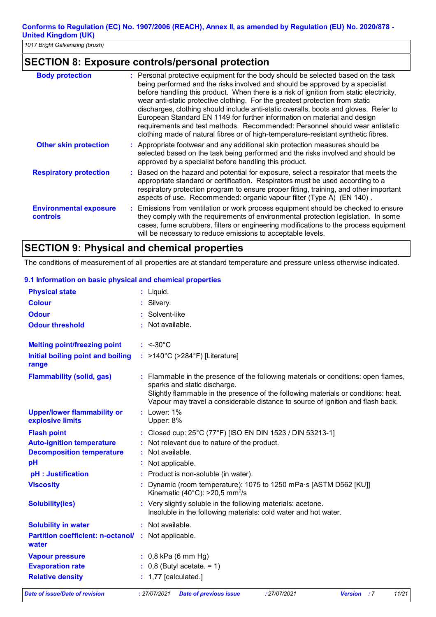*1017 Bright Galvanizing (brush)*

# **SECTION 8: Exposure controls/personal protection**

| <b>Body protection</b>                    | : Personal protective equipment for the body should be selected based on the task<br>being performed and the risks involved and should be approved by a specialist<br>before handling this product. When there is a risk of ignition from static electricity,<br>wear anti-static protective clothing. For the greatest protection from static<br>discharges, clothing should include anti-static overalls, boots and gloves. Refer to<br>European Standard EN 1149 for further information on material and design<br>requirements and test methods. Recommended: Personnel should wear antistatic<br>clothing made of natural fibres or of high-temperature-resistant synthetic fibres. |
|-------------------------------------------|------------------------------------------------------------------------------------------------------------------------------------------------------------------------------------------------------------------------------------------------------------------------------------------------------------------------------------------------------------------------------------------------------------------------------------------------------------------------------------------------------------------------------------------------------------------------------------------------------------------------------------------------------------------------------------------|
| <b>Other skin protection</b>              | : Appropriate footwear and any additional skin protection measures should be<br>selected based on the task being performed and the risks involved and should be<br>approved by a specialist before handling this product.                                                                                                                                                                                                                                                                                                                                                                                                                                                                |
| <b>Respiratory protection</b>             | : Based on the hazard and potential for exposure, select a respirator that meets the<br>appropriate standard or certification. Respirators must be used according to a<br>respiratory protection program to ensure proper fitting, training, and other important<br>aspects of use. Recommended: organic vapour filter (Type A) (EN 140).                                                                                                                                                                                                                                                                                                                                                |
| <b>Environmental exposure</b><br>controls | : Emissions from ventilation or work process equipment should be checked to ensure<br>they comply with the requirements of environmental protection legislation. In some<br>cases, fume scrubbers, filters or engineering modifications to the process equipment<br>will be necessary to reduce emissions to acceptable levels.                                                                                                                                                                                                                                                                                                                                                          |

# **SECTION 9: Physical and chemical properties**

The conditions of measurement of all properties are at standard temperature and pressure unless otherwise indicated.

| Date of issue/Date of revision                                                             | 11/21<br>: 27/07/2021<br><b>Date of previous issue</b><br>: 27/07/2021<br><b>Version</b><br>$\cdot$ : 7                                                                                                                                                                                     |
|--------------------------------------------------------------------------------------------|---------------------------------------------------------------------------------------------------------------------------------------------------------------------------------------------------------------------------------------------------------------------------------------------|
| <b>Relative density</b>                                                                    | $: 1,77$ [calculated.]                                                                                                                                                                                                                                                                      |
| <b>Evaporation rate</b>                                                                    | $\therefore$ 0,8 (Butyl acetate. = 1)                                                                                                                                                                                                                                                       |
| <b>Vapour pressure</b>                                                                     | $: 0,8$ kPa (6 mm Hg)                                                                                                                                                                                                                                                                       |
| <b>Partition coefficient: n-octanol/ :</b> Not applicable.<br>water                        |                                                                                                                                                                                                                                                                                             |
| <b>Solubility in water</b>                                                                 | : Not available.                                                                                                                                                                                                                                                                            |
| <b>Solubility(ies)</b>                                                                     | : Very slightly soluble in the following materials: acetone.<br>Insoluble in the following materials: cold water and hot water.                                                                                                                                                             |
| <b>Viscosity</b>                                                                           | Dynamic (room temperature): 1075 to 1250 mPa·s [ASTM D562 [KU]]<br>Kinematic (40 $^{\circ}$ C): >20,5 mm <sup>2</sup> /s                                                                                                                                                                    |
| pH : Justification                                                                         | Product is non-soluble (in water).                                                                                                                                                                                                                                                          |
| pH                                                                                         | Not applicable.                                                                                                                                                                                                                                                                             |
| <b>Flash point</b><br><b>Auto-ignition temperature</b><br><b>Decomposition temperature</b> | : Closed cup: 25°C (77°F) [ISO EN DIN 1523 / DIN 53213-1]<br>: Not relevant due to nature of the product.<br>Not available.                                                                                                                                                                 |
| <b>Upper/lower flammability or</b><br>explosive limits                                     | $:$ Lower: $1\%$<br>Upper: 8%                                                                                                                                                                                                                                                               |
| <b>Flammability (solid, gas)</b>                                                           | : Flammable in the presence of the following materials or conditions: open flames,<br>sparks and static discharge.<br>Slightly flammable in the presence of the following materials or conditions: heat.<br>Vapour may travel a considerable distance to source of ignition and flash back. |
| range                                                                                      |                                                                                                                                                                                                                                                                                             |
| Initial boiling point and boiling                                                          | : >140°C (>284°F) [Literature]                                                                                                                                                                                                                                                              |
| <b>Melting point/freezing point</b>                                                        | $: < -30^{\circ}$ C                                                                                                                                                                                                                                                                         |
| <b>Odour threshold</b>                                                                     | Not available.                                                                                                                                                                                                                                                                              |
| <b>Odour</b>                                                                               | Solvent-like                                                                                                                                                                                                                                                                                |
| <b>Colour</b>                                                                              | Silvery.                                                                                                                                                                                                                                                                                    |
| <b>Physical state</b>                                                                      | : Liquid.                                                                                                                                                                                                                                                                                   |

#### **9.1 Information on basic physical and chemical properties**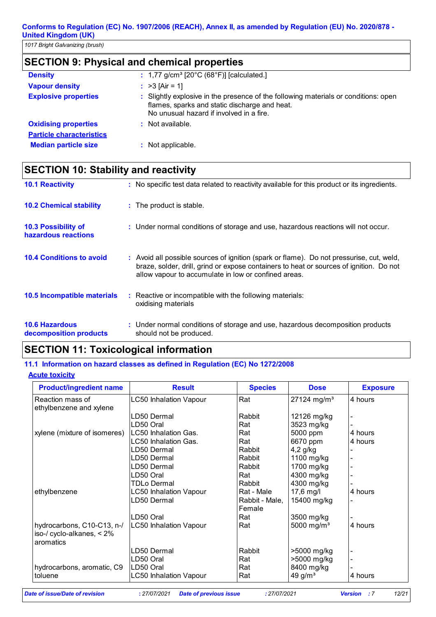*1017 Bright Galvanizing (brush)*

# **SECTION 9: Physical and chemical properties**

| <b>Density</b>                  | : $1,77$ g/cm <sup>3</sup> [20 $^{\circ}$ C (68 $^{\circ}$ F)] [calculated.]                                                                                                     |
|---------------------------------|----------------------------------------------------------------------------------------------------------------------------------------------------------------------------------|
| <b>Vapour density</b>           | : $>3$ [Air = 1]                                                                                                                                                                 |
| <b>Explosive properties</b>     | : Slightly explosive in the presence of the following materials or conditions: open<br>flames, sparks and static discharge and heat.<br>No unusual hazard if involved in a fire. |
| <b>Oxidising properties</b>     | $:$ Not available.                                                                                                                                                               |
| <b>Particle characteristics</b> |                                                                                                                                                                                  |
| <b>Median particle size</b>     | Not applicable.                                                                                                                                                                  |

# **SECTION 10: Stability and reactivity**

| <b>10.1 Reactivity</b>                            | : No specific test data related to reactivity available for this product or its ingredients.                                                                                                                                                |
|---------------------------------------------------|---------------------------------------------------------------------------------------------------------------------------------------------------------------------------------------------------------------------------------------------|
| <b>10.2 Chemical stability</b>                    | : The product is stable.                                                                                                                                                                                                                    |
| <b>10.3 Possibility of</b><br>hazardous reactions | : Under normal conditions of storage and use, hazardous reactions will not occur.                                                                                                                                                           |
| <b>10.4 Conditions to avoid</b>                   | : Avoid all possible sources of ignition (spark or flame). Do not pressurise, cut, weld,<br>braze, solder, drill, grind or expose containers to heat or sources of ignition. Do not<br>allow vapour to accumulate in low or confined areas. |
| <b>10.5 Incompatible materials</b>                | : Reactive or incompatible with the following materials:<br>oxidising materials                                                                                                                                                             |
| <b>10.6 Hazardous</b><br>decomposition products   | : Under normal conditions of storage and use, hazardous decomposition products<br>should not be produced.                                                                                                                                   |

### **SECTION 11: Toxicological information**

#### **11.1 Information on hazard classes as defined in Regulation (EC) No 1272/2008**

#### **Acute toxicity**

| <b>Product/ingredient name</b>            | <b>Result</b>                 | <b>Species</b> | <b>Dose</b>               | <b>Exposure</b> |
|-------------------------------------------|-------------------------------|----------------|---------------------------|-----------------|
| Reaction mass of                          | <b>LC50 Inhalation Vapour</b> | Rat            | $27124$ mg/m <sup>3</sup> | 4 hours         |
| ethylbenzene and xylene                   |                               |                |                           |                 |
|                                           | D50 Dermal                    | Rabbit         | 12126 mg/kg               |                 |
|                                           | D50 Oral                      | Rat            | 3523 mg/kg                |                 |
| xylene (mixture of isomeres)              | LC50 Inhalation Gas.          | Rat            | 5000 ppm                  | 4 hours         |
|                                           | LC50 Inhalation Gas.          | Rat            | 6670 ppm                  | 4 hours         |
|                                           | D50 Dermal                    | Rabbit         | $4,2$ g/kg                |                 |
|                                           | D50 Dermal                    | Rabbit         | 1100 mg/kg                |                 |
|                                           | LD50 Dermal                   | Rabbit         | 1700 mg/kg                |                 |
|                                           | D50 Oral                      | Rat            | 4300 mg/kg                |                 |
|                                           | TDLo Dermal                   | Rabbit         | 4300 mg/kg                |                 |
| ethylbenzene                              | LC50 Inhalation Vapour        | Rat - Male     | 17,6 mg/l                 | 4 hours         |
|                                           | D50 Dermal                    | Rabbit - Male, | 15400 mg/kg               |                 |
|                                           |                               | Female         |                           |                 |
|                                           | D50 Oral                      | Rat            | 3500 mg/kg                |                 |
| hydrocarbons, C10-C13, n-/                | <b>LC50 Inhalation Vapour</b> | Rat            | 5000 mg/m <sup>3</sup>    | 4 hours         |
| iso-/ cyclo-alkanes, $< 2\%$<br>aromatics |                               |                |                           |                 |
|                                           | D50 Dermal                    | Rabbit         | >5000 mg/kg               |                 |
|                                           | D50 Oral_                     | Rat            | >5000 mg/kg               |                 |
| hydrocarbons, aromatic, C9                | <sub>-</sub> D50 Oral         | Rat            | 8400 mg/kg                |                 |
| toluene                                   | LC50 Inhalation Vapour        | Rat            | 49 $g/m3$                 | 4 hours         |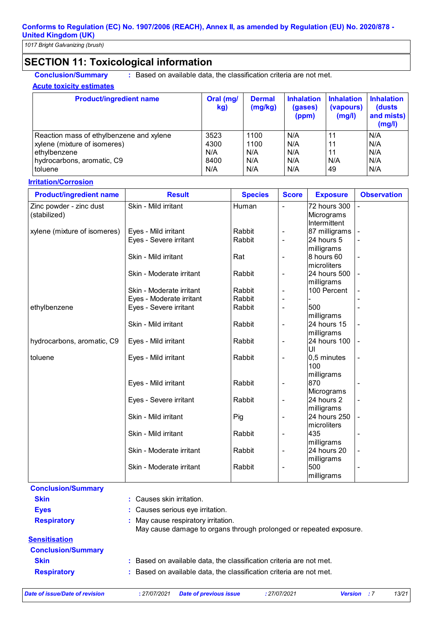# **SECTION 11: Toxicological information**

**Conclusion/Summary :** Based on available data, the classification criteria are not met.

#### **Acute toxicity estimates**

| <b>Product/ingredient name</b>           | Oral (mg/<br>kg) | <b>Dermal</b><br>(mg/kg) | <b>Inhalation</b><br>(gases)<br>(ppm) | <b>Inhalation</b><br>(vapours)<br>(mg/l) | <b>Inhalation</b><br>(dusts)<br>and mists)<br>(mg/l) |
|------------------------------------------|------------------|--------------------------|---------------------------------------|------------------------------------------|------------------------------------------------------|
| Reaction mass of ethylbenzene and xylene | 3523             | 1100                     | N/A                                   | 11                                       | N/A                                                  |
| xylene (mixture of isomeres)             | 4300             | 1100                     | N/A                                   | 11                                       | N/A                                                  |
| ethylbenzene                             | N/A              | N/A                      | N/A                                   | 11                                       | N/A                                                  |
| hydrocarbons, aromatic, C9               | 8400             | N/A                      | N/A                                   | N/A                                      | N/A                                                  |
| toluene                                  | N/A              | N/A                      | N/A                                   | 49                                       | N/A                                                  |

#### **Irritation/Corrosion**

| <b>Product/ingredient name</b> | <b>Result</b>            | <b>Species</b> | <b>Score</b>                 | <b>Exposure</b>            | <b>Observation</b>       |
|--------------------------------|--------------------------|----------------|------------------------------|----------------------------|--------------------------|
| Zinc powder - zinc dust        | Skin - Mild irritant     | Human          | L,                           | 72 hours 300               | $\blacksquare$           |
| (stabilized)                   |                          |                |                              | Micrograms                 |                          |
|                                |                          |                |                              | Intermittent               |                          |
| xylene (mixture of isomeres)   | Eyes - Mild irritant     | Rabbit         | $\overline{\phantom{0}}$     | 87 milligrams              |                          |
|                                | Eyes - Severe irritant   | Rabbit         | $\overline{a}$               | 24 hours 5                 |                          |
|                                |                          |                |                              | milligrams                 |                          |
|                                | Skin - Mild irritant     | Rat            | $\overline{a}$               | 8 hours 60                 | $\blacksquare$           |
|                                |                          |                |                              | microliters                |                          |
|                                | Skin - Moderate irritant | Rabbit         | $\blacksquare$               | 24 hours 500               | $\frac{1}{2}$            |
|                                |                          |                |                              | milligrams                 |                          |
|                                | Skin - Moderate irritant | Rabbit         | $\overline{a}$               | 100 Percent                |                          |
|                                | Eyes - Moderate irritant | Rabbit         |                              |                            |                          |
| ethylbenzene                   | Eyes - Severe irritant   | Rabbit         | $\overline{a}$               | 500                        |                          |
|                                |                          |                |                              | milligrams                 |                          |
|                                | Skin - Mild irritant     | Rabbit         | $\overline{a}$               | 24 hours 15                |                          |
| hydrocarbons, aromatic, C9     | Eyes - Mild irritant     | Rabbit         | $\overline{a}$               | milligrams<br>24 hours 100 |                          |
|                                |                          |                |                              | UI                         |                          |
| toluene                        | Eyes - Mild irritant     | Rabbit         | $\qquad \qquad \blacksquare$ | 0,5 minutes                | $\overline{\phantom{a}}$ |
|                                |                          |                |                              | 100                        |                          |
|                                |                          |                |                              | milligrams                 |                          |
|                                | Eyes - Mild irritant     | Rabbit         | $\overline{a}$               | 870                        |                          |
|                                |                          |                |                              | Micrograms                 |                          |
|                                | Eyes - Severe irritant   | Rabbit         | $\overline{\phantom{0}}$     | 24 hours 2                 |                          |
|                                |                          |                |                              | milligrams                 |                          |
|                                | Skin - Mild irritant     | Pig            | $\overline{\phantom{0}}$     | 24 hours 250               |                          |
|                                |                          |                |                              | microliters                |                          |
|                                | Skin - Mild irritant     | Rabbit         | $\blacksquare$               | 435                        | $\blacksquare$           |
|                                |                          |                |                              | milligrams                 |                          |
|                                | Skin - Moderate irritant | Rabbit         | $\overline{a}$               | 24 hours 20                | $\overline{\phantom{a}}$ |
|                                |                          |                |                              | milligrams                 |                          |
|                                | Skin - Moderate irritant | Rabbit         | $\overline{a}$               | 500                        | $\overline{a}$           |
|                                |                          |                |                              | milligrams                 |                          |
| Conclusion/Cummany             |                          |                |                              |                            |                          |

**Conclusion/Summary Skin :** Causes skin irritation. **Eves Exercise Even Eves :** Causes serious eve irritation. **Respiratory :** May cause respiratory irritation. May cause damage to organs through prolonged or repeated exposure. **Sensitisation Conclusion/Summary Skin Example 20 :** Based on available data, the classification criteria are not met. **Respiratory :** Based on available data, the classification criteria are not met.

*Date of issue/Date of revision* **:** *27/07/2021 Date of previous issue : 27/07/2021 Version : 7 13/21*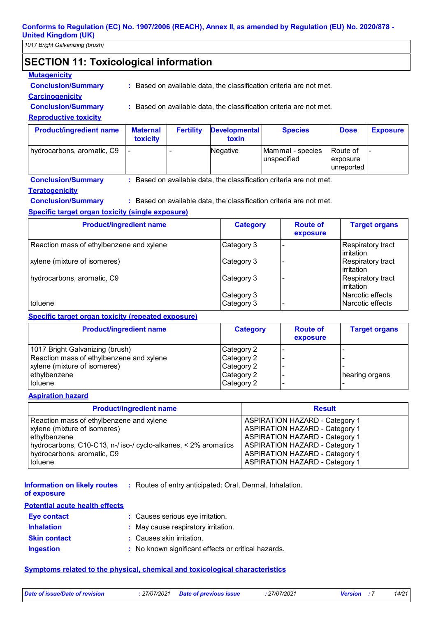*1017 Bright Galvanizing (brush)*

# **SECTION 11: Toxicological information**

#### **Mutagenicity**

**Conclusion/Summary :** Based on available data, the classification criteria are not met.

#### **Carcinogenicity**

**Conclusion/Summary :** Based on available data, the classification criteria are not met.

#### **Reproductive toxicity**

| <b>Product/ingredient name</b> | <b>Maternal</b><br><b>toxicity</b> | <b>Fertility</b> | <b>Developmental</b><br>toxin | <b>Species</b>                  | <b>Dose</b>                                      | <b>Exposure</b> |
|--------------------------------|------------------------------------|------------------|-------------------------------|---------------------------------|--------------------------------------------------|-----------------|
| hydrocarbons, aromatic, C9     |                                    | -                | Negative                      | Mammal - species<br>unspecified | <b>Route of</b><br><i>exposure</i><br>unreported |                 |

**Conclusion/Summary :** Based on available data, the classification criteria are not met.

#### **Teratogenicity**

**Conclusion/Summary :** Based on available data, the classification criteria are not met.

#### **Specific target organ toxicity (single exposure)**

| <b>Product/ingredient name</b>           | <b>Category</b>          | <b>Route of</b><br>exposure | <b>Target organs</b>                     |
|------------------------------------------|--------------------------|-----------------------------|------------------------------------------|
| Reaction mass of ethylbenzene and xylene | Category 3               |                             | Respiratory tract<br><b>lirritation</b>  |
| xylene (mixture of isomeres)             | Category 3               |                             | Respiratory tract<br><b>l</b> irritation |
| hydrocarbons, aromatic, C9               | Category 3               |                             | <b>Respiratory tract</b><br>l irritation |
| toluene                                  | Category 3<br>Category 3 |                             | l Narcotic effects<br>Narcotic effects   |

#### **Specific target organ toxicity (repeated exposure)**

| <b>Product/ingredient name</b>           | <b>Category</b> | <b>Route of</b><br>exposure | <b>Target organs</b> |
|------------------------------------------|-----------------|-----------------------------|----------------------|
| 1017 Bright Galvanizing (brush)          | Category 2      |                             |                      |
| Reaction mass of ethylbenzene and xylene | Category 2      |                             |                      |
| xylene (mixture of isomeres)             | Category 2      |                             |                      |
| ethylbenzene                             | Category 2      |                             | hearing organs       |
| toluene                                  | Category 2      |                             |                      |

#### **Aspiration hazard**

| <b>Product/ingredient name</b>                                 | <b>Result</b>                         |
|----------------------------------------------------------------|---------------------------------------|
| Reaction mass of ethylbenzene and xylene                       | <b>ASPIRATION HAZARD - Category 1</b> |
| xylene (mixture of isomeres)                                   | <b>ASPIRATION HAZARD - Category 1</b> |
| ethylbenzene                                                   | <b>ASPIRATION HAZARD - Category 1</b> |
| hydrocarbons, C10-C13, n-/ iso-/ cyclo-alkanes, < 2% aromatics | <b>ASPIRATION HAZARD - Category 1</b> |
| hydrocarbons, aromatic, C9                                     | <b>ASPIRATION HAZARD - Category 1</b> |
| <b>toluene</b>                                                 | <b>ASPIRATION HAZARD - Category 1</b> |

Routes of entry anticipated: Oral, Dermal, Inhalation. **: Information on likely routes** 

#### **of exposure**

#### **Potential acute health effects**

| <b>Eye contact</b>  | : Causes serious eye irritation.                    |
|---------------------|-----------------------------------------------------|
| <b>Inhalation</b>   | : May cause respiratory irritation.                 |
| <b>Skin contact</b> | : Causes skin irritation.                           |
| <b>Ingestion</b>    | : No known significant effects or critical hazards. |

#### **Symptoms related to the physical, chemical and toxicological characteristics**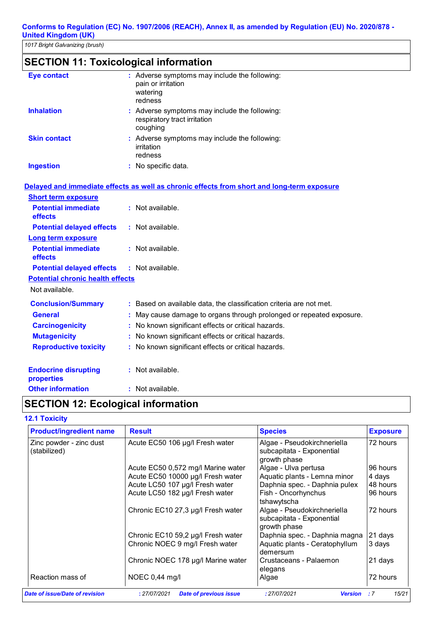# **SECTION 11: Toxicological information**

| <b>Eye contact</b>  | : Adverse symptoms may include the following:<br>pain or irritation<br>watering<br>redness |
|---------------------|--------------------------------------------------------------------------------------------|
| <b>Inhalation</b>   | : Adverse symptoms may include the following:<br>respiratory tract irritation<br>coughing  |
| <b>Skin contact</b> | : Adverse symptoms may include the following:<br>irritation<br>redness                     |
| <b>Ingestion</b>    | No specific data.                                                                          |

#### **Delayed and immediate effects as well as chronic effects from short and long-term exposure**

| <b>Short term exposure</b>                   |                                                                      |
|----------------------------------------------|----------------------------------------------------------------------|
| <b>Potential immediate</b><br><b>effects</b> | $:$ Not available.                                                   |
| <b>Potential delayed effects</b>             | : Not available.                                                     |
| <b>Long term exposure</b>                    |                                                                      |
| <b>Potential immediate</b><br>effects        | $:$ Not available.                                                   |
| <b>Potential delayed effects</b>             | $:$ Not available.                                                   |
| <b>Potential chronic health effects</b>      |                                                                      |
| Not available.                               |                                                                      |
| <b>Conclusion/Summary</b>                    | : Based on available data, the classification criteria are not met.  |
| <b>General</b>                               | : May cause damage to organs through prolonged or repeated exposure. |
| <b>Carcinogenicity</b>                       | : No known significant effects or critical hazards.                  |
| <b>Mutagenicity</b>                          | : No known significant effects or critical hazards.                  |
| <b>Reproductive toxicity</b>                 | : No known significant effects or critical hazards.                  |
| <b>Endocrine disrupting</b><br>properties    | $:$ Not available.                                                   |
| <b>Other information</b>                     | : Not available.                                                     |

# **SECTION 12: Ecological information**

#### **12.1 Toxicity**

| <b>Product/ingredient name</b>          | <b>Result</b>                                 | <b>Species</b>                                                           | <b>Exposure</b> |
|-----------------------------------------|-----------------------------------------------|--------------------------------------------------------------------------|-----------------|
| Zinc powder - zinc dust<br>(stabilized) | Acute EC50 106 µg/l Fresh water               | Algae - Pseudokirchneriella<br>subcapitata - Exponential<br>growth phase | 72 hours        |
|                                         | Acute EC50 0,572 mg/l Marine water            | Algae - Ulva pertusa                                                     | 96 hours        |
|                                         | Acute EC50 10000 µg/l Fresh water             | Aquatic plants - Lemna minor                                             | 4 days          |
|                                         | Acute LC50 107 µg/l Fresh water               | Daphnia spec. - Daphnia pulex                                            | 48 hours        |
|                                         | Acute LC50 182 µg/l Fresh water               | Fish - Oncorhynchus<br>tshawytscha                                       | 96 hours        |
|                                         | Chronic EC10 27,3 µg/l Fresh water            | Algae - Pseudokirchneriella<br>subcapitata - Exponential<br>growth phase | 72 hours        |
|                                         | Chronic EC10 59,2 µg/l Fresh water            | Daphnia spec. - Daphnia magna                                            | 21 days         |
|                                         | Chronic NOEC 9 mg/l Fresh water               | Aquatic plants - Ceratophyllum<br>demersum                               | 3 days          |
|                                         | Chronic NOEC 178 µg/l Marine water            | Crustaceans - Palaemon<br>elegans                                        | 21 days         |
| Reaction mass of                        | NOEC 0,44 mg/l                                | Algae                                                                    | 72 hours        |
| <b>Date of issue/Date of revision</b>   | : 27/07/2021<br><b>Date of previous issue</b> | : 27/07/2021<br><b>Version</b>                                           | 15/21<br>:7     |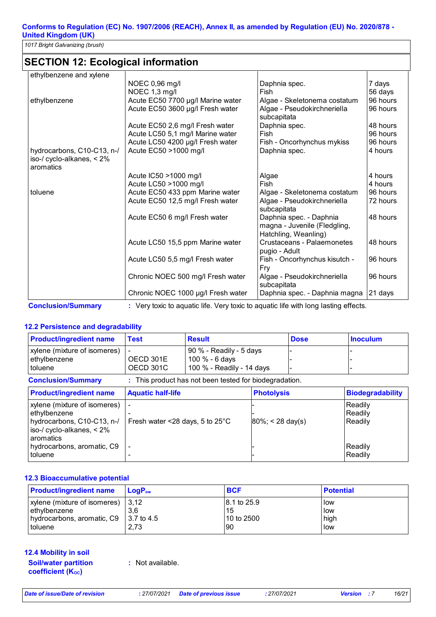*1017 Bright Galvanizing (brush)*

# **SECTION 12: Ecological information**

| ethylbenzene and xylene      |                                    |                               |          |
|------------------------------|------------------------------------|-------------------------------|----------|
|                              | NOEC 0,96 mg/l                     | Daphnia spec.                 | 7 days   |
|                              | NOEC 1,3 mg/l                      | Fish                          | 56 days  |
| ethylbenzene                 | Acute EC50 7700 µg/l Marine water  | Algae - Skeletonema costatum  | 96 hours |
|                              | Acute EC50 3600 µg/l Fresh water   | Algae - Pseudokirchneriella   | 96 hours |
|                              |                                    | subcapitata                   |          |
|                              | Acute EC50 2,6 mg/l Fresh water    | Daphnia spec.                 | 48 hours |
|                              | Acute LC50 5,1 mg/l Marine water   | Fish                          | 96 hours |
|                              | Acute LC50 4200 µg/l Fresh water   | Fish - Oncorhynchus mykiss    | 96 hours |
| hydrocarbons, C10-C13, n-/   | Acute EC50 >1000 mg/l              | Daphnia spec.                 | 4 hours  |
| iso-/ cyclo-alkanes, $< 2\%$ |                                    |                               |          |
| aromatics                    |                                    |                               |          |
|                              | Acute IC50 >1000 mg/l              | Algae                         | 4 hours  |
|                              | Acute LC50 >1000 mg/l              | Fish                          | 4 hours  |
| toluene                      | Acute EC50 433 ppm Marine water    | Algae - Skeletonema costatum  | 96 hours |
|                              | Acute EC50 12,5 mg/l Fresh water   | Algae - Pseudokirchneriella   | 72 hours |
|                              |                                    | subcapitata                   |          |
|                              | Acute EC50 6 mg/l Fresh water      | Daphnia spec. - Daphnia       | 48 hours |
|                              |                                    | magna - Juvenile (Fledgling,  |          |
|                              |                                    | Hatchling, Weanling)          |          |
|                              | Acute LC50 15,5 ppm Marine water   | Crustaceans - Palaemonetes    | 48 hours |
|                              |                                    | pugio - Adult                 |          |
|                              | Acute LC50 5,5 mg/l Fresh water    | Fish - Oncorhynchus kisutch - | 96 hours |
|                              |                                    | Fry                           |          |
|                              | Chronic NOEC 500 mg/l Fresh water  | Algae - Pseudokirchneriella   | 96 hours |
|                              |                                    | subcapitata                   |          |
|                              | Chronic NOEC 1000 µg/l Fresh water | Daphnia spec. - Daphnia magna | 21 days  |

**Conclusion/Summary :** Very toxic to aquatic life. Very toxic to aquatic life with long lasting effects.

#### **12.2 Persistence and degradability**

| <b>Product/ingredient name</b>                                                                                       | <b>Test</b>                                     | <b>Result</b>                                                          |                      | <b>Dose</b> | <b>Inoculum</b>               |
|----------------------------------------------------------------------------------------------------------------------|-------------------------------------------------|------------------------------------------------------------------------|----------------------|-------------|-------------------------------|
| xylene (mixture of isomeres)<br>ethylbenzene<br>toluene                                                              | OECD 301E<br>OECD 301C                          | 90 % - Readily - 5 days<br>100 % - 6 days<br>100 % - Readily - 14 days |                      |             |                               |
| : This product has not been tested for biodegradation.<br><b>Conclusion/Summary</b>                                  |                                                 |                                                                        |                      |             |                               |
| <b>Product/ingredient name</b>                                                                                       | <b>Aquatic half-life</b>                        |                                                                        | <b>Photolysis</b>    |             | <b>Biodegradability</b>       |
| xylene (mixture of isomeres)<br>ethylbenzene<br>hydrocarbons, C10-C13, n-/<br>iso-/ cyclo-alkanes, < 2%<br>aromatics | Fresh water $\leq$ 28 days, 5 to 25 $\degree$ C |                                                                        | $ 80\%  < 28$ day(s) |             | Readily<br>Readily<br>Readily |
| hydrocarbons, aromatic, C9<br>toluene                                                                                |                                                 |                                                                        |                      |             | Readily<br>Readily            |

#### **12.3 Bioaccumulative potential**

| <b>Product/ingredient name</b>                 | $LoaPow$ | <b>BCF</b>   | <b>Potential</b> |
|------------------------------------------------|----------|--------------|------------------|
| xylene (mixture of isomeres)   3,12            |          | 18.1 to 25.9 | <b>Ilow</b>      |
| ethylbenzene                                   | 3.6      | 15           | <b>llow</b>      |
| Invertocarbons, aromatic, C9 $\mid$ 3.7 to 4.5 |          | 10 to 2500   | high             |
| toluene                                        | 2.73     | 90           | <b>low</b>       |

**12.4 Mobility in soil Soil/water partition** 

**coefficient (KOC)**

**:** Not available.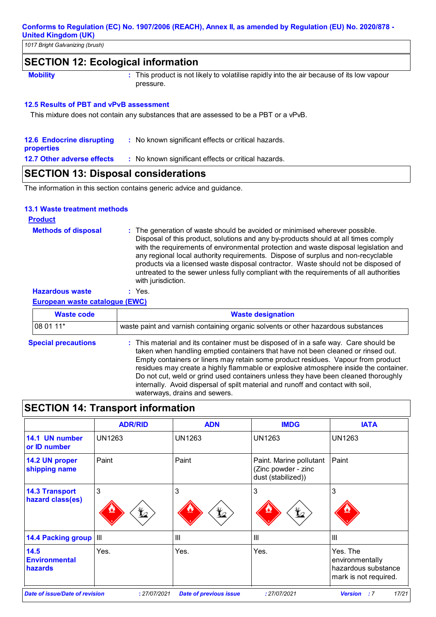*1017 Bright Galvanizing (brush)*

### **SECTION 12: Ecological information**

**Mobility This product is not likely to volatilise rapidly into the air because of its low vapour <b>Mobility** pressure.

#### **12.5 Results of PBT and vPvB assessment**

This mixture does not contain any substances that are assessed to be a PBT or a vPvB.

| <b>12.6 Endocrine disrupting</b> | : No known significant effects or critical hazards. |
|----------------------------------|-----------------------------------------------------|
| properties                       |                                                     |
| 12.7 Other adverse effects       | : No known significant effects or critical hazards. |

# **SECTION 13: Disposal considerations**

The information in this section contains generic advice and guidance.

#### **13.1 Waste treatment methods**

| <b>Product</b>             |                                                                                                                                                                                                                                                                                                                                                                                                                                                                                                                                                     |
|----------------------------|-----------------------------------------------------------------------------------------------------------------------------------------------------------------------------------------------------------------------------------------------------------------------------------------------------------------------------------------------------------------------------------------------------------------------------------------------------------------------------------------------------------------------------------------------------|
| <b>Methods of disposal</b> | : The generation of waste should be avoided or minimised wherever possible.<br>Disposal of this product, solutions and any by-products should at all times comply<br>with the requirements of environmental protection and waste disposal legislation and<br>any regional local authority requirements. Dispose of surplus and non-recyclable<br>products via a licensed waste disposal contractor. Waste should not be disposed of<br>untreated to the sewer unless fully compliant with the requirements of all authorities<br>with jurisdiction. |
| <b>Hazardous waste</b>     | $:$ Yes.                                                                                                                                                                                                                                                                                                                                                                                                                                                                                                                                            |

**European waste catalogue (EWC)**

| <b>Waste code</b>          | <b>Waste designation</b>                                                                                                                                                                                                                                                                                                                                                                                                                                                                                                                                      |
|----------------------------|---------------------------------------------------------------------------------------------------------------------------------------------------------------------------------------------------------------------------------------------------------------------------------------------------------------------------------------------------------------------------------------------------------------------------------------------------------------------------------------------------------------------------------------------------------------|
| 08 01 11*                  | waste paint and varnish containing organic solvents or other hazardous substances                                                                                                                                                                                                                                                                                                                                                                                                                                                                             |
| <b>Special precautions</b> | : This material and its container must be disposed of in a safe way. Care should be<br>taken when handling emptied containers that have not been cleaned or rinsed out.<br>Empty containers or liners may retain some product residues. Vapour from product<br>residues may create a highly flammable or explosive atmosphere inside the container.<br>Do not cut, weld or grind used containers unless they have been cleaned thoroughly<br>internally. Avoid dispersal of spilt material and runoff and contact with soil,<br>waterways, drains and sewers. |

# **SECTION 14: Transport information**

|                                           | <b>ADR/RID</b>                                                                                                                          | <b>ADN</b>      | <b>IMDG</b>                                                          | <b>IATA</b>                                                                 |
|-------------------------------------------|-----------------------------------------------------------------------------------------------------------------------------------------|-----------------|----------------------------------------------------------------------|-----------------------------------------------------------------------------|
| 14.1 UN number<br>or ID number            | <b>UN1263</b>                                                                                                                           | <b>UN1263</b>   | <b>UN1263</b>                                                        | <b>UN1263</b>                                                               |
| 14.2 UN proper<br>shipping name           | Paint                                                                                                                                   | Paint           | Paint. Marine pollutant<br>(Zinc powder - zinc<br>dust (stabilized)) | Paint                                                                       |
| <b>14.3 Transport</b><br>hazard class(es) | 3<br>$\bigstar$                                                                                                                         | 3<br>$\bigstar$ | 3<br>$\bigstar$                                                      | 3                                                                           |
| <b>14.4 Packing group III</b>             |                                                                                                                                         | $\mathbf{III}$  | $\mathbf{III}$                                                       | $\mathbf{III}$                                                              |
| 14.5<br><b>Environmental</b><br>hazards   | Yes.                                                                                                                                    | Yes.            | Yes.                                                                 | Yes. The<br>environmentally<br>hazardous substance<br>mark is not required. |
|                                           | 17/21<br><b>Date of issue/Date of revision</b><br>: 27/07/2021<br>: 27/07/2021<br><b>Date of previous issue</b><br><b>Version</b><br>:7 |                 |                                                                      |                                                                             |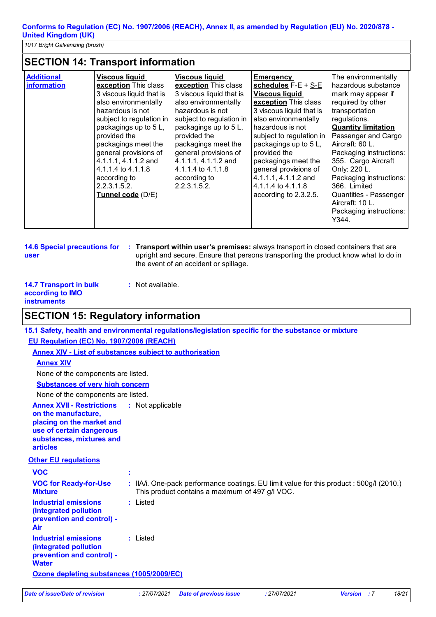*1017 Bright Galvanizing (brush)*

# **SECTION 14: Transport information**

| <b>Additional</b><br><b>information</b> | <b>Viscous liquid</b><br>exception This class<br>3 viscous liquid that is<br>also environmentally<br>hazardous is not<br>subject to regulation in<br>packagings up to 5L,<br>provided the<br>packagings meet the<br>general provisions of<br>4.1.1.1, 4.1.1.2 and<br>4.1.1.4 to 4.1.1.8<br>according to<br>2.2.3.1.5.2.<br>Tunnel code (D/E) | <b>Viscous liquid</b><br>exception This class<br>3 viscous liquid that is<br>also environmentally<br>hazardous is not<br>subject to regulation in<br>packagings up to 5 L,<br>provided the<br>packagings meet the<br>general provisions of<br>4.1.1.1, 4.1.1.2 and<br>4.1.1.4 to 4.1.1.8<br>according to<br>2.2.3.1.5.2. | <b>Emergency</b><br>schedules $F-E + S-E$<br><b>Viscous liquid</b><br>exception This class<br>3 viscous liquid that is<br>also environmentally<br>hazardous is not<br>subject to regulation in<br>packagings up to 5 L,<br>provided the<br>packagings meet the<br>general provisions of<br>4.1.1.1, 4.1.1.2 and<br>4.1.1.4 to 4.1.1.8<br>according to 2.3.2.5. | The environmentally<br>hazardous substance<br>mark may appear if<br>required by other<br>transportation<br>regulations.<br><b>Quantity limitation</b><br>Passenger and Cargo<br>Aircraft: 60 L.<br>Packaging instructions:<br>355. Cargo Aircraft<br>Only: 220 L.<br>Packaging instructions:<br>366. Limited<br>Quantities - Passenger<br>Aircraft: 10 L.<br>Packaging instructions:<br>Y344. |
|-----------------------------------------|----------------------------------------------------------------------------------------------------------------------------------------------------------------------------------------------------------------------------------------------------------------------------------------------------------------------------------------------|--------------------------------------------------------------------------------------------------------------------------------------------------------------------------------------------------------------------------------------------------------------------------------------------------------------------------|----------------------------------------------------------------------------------------------------------------------------------------------------------------------------------------------------------------------------------------------------------------------------------------------------------------------------------------------------------------|-----------------------------------------------------------------------------------------------------------------------------------------------------------------------------------------------------------------------------------------------------------------------------------------------------------------------------------------------------------------------------------------------|
|-----------------------------------------|----------------------------------------------------------------------------------------------------------------------------------------------------------------------------------------------------------------------------------------------------------------------------------------------------------------------------------------------|--------------------------------------------------------------------------------------------------------------------------------------------------------------------------------------------------------------------------------------------------------------------------------------------------------------------------|----------------------------------------------------------------------------------------------------------------------------------------------------------------------------------------------------------------------------------------------------------------------------------------------------------------------------------------------------------------|-----------------------------------------------------------------------------------------------------------------------------------------------------------------------------------------------------------------------------------------------------------------------------------------------------------------------------------------------------------------------------------------------|

```
14.6 Special precautions for 
user
```
**Transport within user's premises:** always transport in closed containers that are **:** upright and secure. Ensure that persons transporting the product know what to do in the event of an accident or spillage.

| <b>14.7 Transport in bulk</b> | : Not available. |
|-------------------------------|------------------|
| according to <b>IMO</b>       |                  |
| <b>instruments</b>            |                  |

## **SECTION 15: Regulatory information**

**15.1 Safety, health and environmental regulations/legislation specific for the substance or mixture**

**EU Regulation (EC) No. 1907/2006 (REACH)**

**Annex XIV - List of substances subject to authorisation**

#### **Annex XIV**

None of the components are listed.

**Substances of very high concern**

None of the components are listed.

- **Annex XVII Restrictions :**
- **on the manufacture,**

**placing on the market and** 

**use of certain dangerous** 

**substances, mixtures and articles**

#### **Other EU regulations**

| <b>VOC</b>                                                                                                |                                                                                                                                             |
|-----------------------------------------------------------------------------------------------------------|---------------------------------------------------------------------------------------------------------------------------------------------|
| <b>VOC for Ready-for-Use</b><br><b>Mixture</b>                                                            | : IIA/i. One-pack performance coatings. EU limit value for this product : 500g/l (2010.)<br>This product contains a maximum of 497 g/l VOC. |
| Industrial emissions<br>(integrated pollution<br>prevention and control) -<br>Air                         | : Listed                                                                                                                                    |
| <b>Industrial emissions</b><br><i>(integrated pollution)</i><br>prevention and control) -<br><b>Water</b> | : Listed                                                                                                                                    |
| Ozone depleting substances (1005/2009/EC)                                                                 |                                                                                                                                             |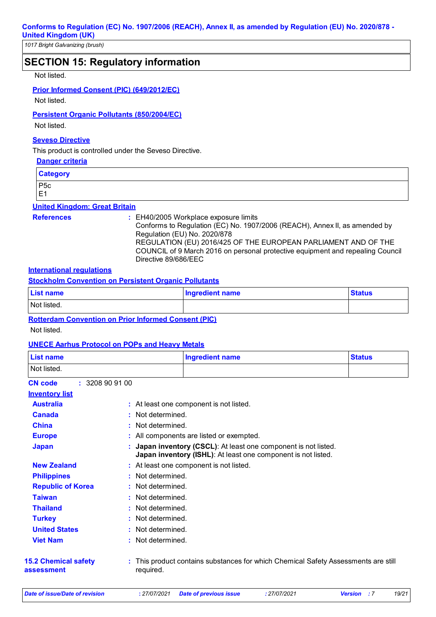*1017 Bright Galvanizing (brush)*

### **SECTION 15: Regulatory information**

#### Not listed.

#### **Prior Informed Consent (PIC) (649/2012/EC)**

Not listed.

#### **Persistent Organic Pollutants (850/2004/EC)**

Not listed.

#### **Seveso Directive**

This product is controlled under the Seveso Directive.

#### **Danger criteria**

**Category** P5c

E1

### **United Kingdom: Great Britain**

- 
- **References :** EH40/2005 Workplace exposure limits

Conforms to Regulation (EC) No. 1907/2006 (REACH), Annex II, as amended by Regulation (EU) No. 2020/878 REGULATION (EU) 2016/425 OF THE EUROPEAN PARLIAMENT AND OF THE

COUNCIL of 9 March 2016 on personal protective equipment and repealing Council Directive 89/686/EEC

#### **International regulations**

**Stockholm Convention on Persistent Organic Pollutants**

| <b>List name</b>            | <b>Ingredient name</b> | <b>Status</b> |
|-----------------------------|------------------------|---------------|
| Not listed.                 |                        |               |
| ________<br>_ _ _ _<br>____ | ________               |               |

#### **Rotterdam Convention on Prior Informed Consent (PIC)**

Not listed.

#### **UNECE Aarhus Protocol on POPs and Heavy Metals**

| <b>List name</b>                                                                                                                           |                 | <b>Ingredient name</b>                                                                                                         | <b>Status</b> |  |
|--------------------------------------------------------------------------------------------------------------------------------------------|-----------------|--------------------------------------------------------------------------------------------------------------------------------|---------------|--|
| Not listed.                                                                                                                                |                 |                                                                                                                                |               |  |
| : 3208909100<br><b>CN</b> code                                                                                                             |                 |                                                                                                                                |               |  |
| <b>Inventory list</b>                                                                                                                      |                 |                                                                                                                                |               |  |
| <b>Australia</b>                                                                                                                           |                 | : At least one component is not listed.                                                                                        |               |  |
| <b>Canada</b>                                                                                                                              |                 | Not determined.                                                                                                                |               |  |
| <b>China</b>                                                                                                                               |                 | Not determined.                                                                                                                |               |  |
| <b>Europe</b>                                                                                                                              |                 | : All components are listed or exempted.                                                                                       |               |  |
| <b>Japan</b>                                                                                                                               |                 | Japan inventory (CSCL): At least one component is not listed.<br>Japan inventory (ISHL): At least one component is not listed. |               |  |
| <b>New Zealand</b>                                                                                                                         |                 | : At least one component is not listed.                                                                                        |               |  |
| : Not determined.<br><b>Philippines</b>                                                                                                    |                 |                                                                                                                                |               |  |
| <b>Republic of Korea</b><br>: Not determined.                                                                                              |                 |                                                                                                                                |               |  |
| <b>Taiwan</b><br>: Not determined.                                                                                                         |                 |                                                                                                                                |               |  |
| <b>Thailand</b>                                                                                                                            | Not determined. |                                                                                                                                |               |  |
| Not determined.<br><b>Turkey</b>                                                                                                           |                 |                                                                                                                                |               |  |
| <b>United States</b><br>Not determined.                                                                                                    |                 |                                                                                                                                |               |  |
| <b>Viet Nam</b>                                                                                                                            | Not determined. |                                                                                                                                |               |  |
| <b>15.2 Chemical safety</b><br>This product contains substances for which Chemical Safety Assessments are still<br>required.<br>assessment |                 |                                                                                                                                |               |  |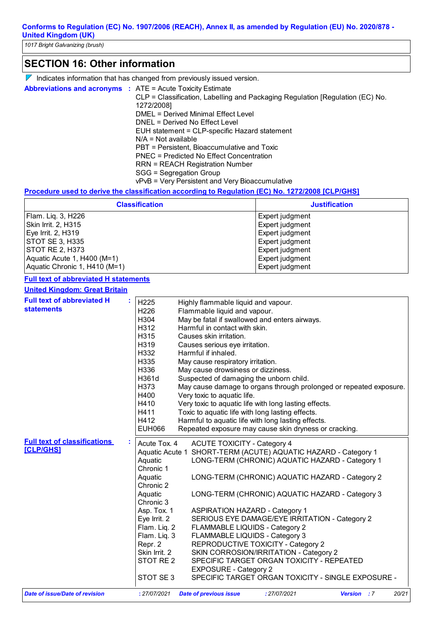# **SECTION 16: Other information**

| $\lambda$ Indicates information that has changed from previously issued version. |  |  |
|----------------------------------------------------------------------------------|--|--|
|                                                                                  |  |  |

| <b>Abbreviations and acronyms : ATE = Acute Toxicity Estimate</b> |                                                                               |
|-------------------------------------------------------------------|-------------------------------------------------------------------------------|
|                                                                   | CLP = Classification, Labelling and Packaging Regulation [Regulation (EC) No. |
|                                                                   | 1272/2008]                                                                    |
|                                                                   | DMEL = Derived Minimal Effect Level                                           |
|                                                                   | DNEL = Derived No Effect Level                                                |
|                                                                   | EUH statement = CLP-specific Hazard statement                                 |
|                                                                   | $N/A$ = Not available                                                         |
|                                                                   | PBT = Persistent, Bioaccumulative and Toxic                                   |
|                                                                   | PNEC = Predicted No Effect Concentration                                      |
|                                                                   | <b>RRN = REACH Registration Number</b>                                        |
|                                                                   | SGG = Segregation Group                                                       |
|                                                                   | vPvB = Very Persistent and Very Bioaccumulative                               |

#### **Procedure used to derive the classification according to Regulation (EC) No. 1272/2008 [CLP/GHS]**

| <b>Classification</b>         | <b>Justification</b> |
|-------------------------------|----------------------|
| Flam. Lig. 3, H226            | Expert judgment      |
| Skin Irrit. 2, H315           | Expert judgment      |
| Eye Irrit. 2, H319            | Expert judgment      |
| STOT SE 3, H335               | Expert judgment      |
| STOT RE 2, H373               | Expert judgment      |
| Aquatic Acute 1, H400 (M=1)   | Expert judgment      |
| Aquatic Chronic 1, H410 (M=1) | Expert judgment      |

#### **Full text of abbreviated H statements**

#### **United Kingdom: Great Britain**

| <b>Full text of abbreviated H</b>     | H <sub>225</sub>                                              | Highly flammable liquid and vapour.                                                        |
|---------------------------------------|---------------------------------------------------------------|--------------------------------------------------------------------------------------------|
| <b>statements</b>                     | H226                                                          | Flammable liquid and vapour.                                                               |
|                                       | H304                                                          | May be fatal if swallowed and enters airways.                                              |
|                                       | H312                                                          | Harmful in contact with skin.                                                              |
|                                       | H315                                                          | Causes skin irritation.                                                                    |
|                                       | H319                                                          | Causes serious eye irritation.                                                             |
|                                       | H332                                                          | Harmful if inhaled.                                                                        |
|                                       | H335                                                          | May cause respiratory irritation.                                                          |
|                                       | H336                                                          | May cause drowsiness or dizziness.                                                         |
|                                       | H361d                                                         | Suspected of damaging the unborn child.                                                    |
|                                       | H373                                                          | May cause damage to organs through prolonged or repeated exposure.                         |
|                                       | H400                                                          | Very toxic to aquatic life.                                                                |
|                                       | H410<br>Very toxic to aquatic life with long lasting effects. |                                                                                            |
|                                       | H411                                                          | Toxic to aquatic life with long lasting effects.                                           |
|                                       | H412                                                          | Harmful to aquatic life with long lasting effects.                                         |
|                                       | <b>EUH066</b>                                                 | Repeated exposure may cause skin dryness or cracking.                                      |
| <b>Full text of classifications</b>   | Acute Tox. 4                                                  | <b>ACUTE TOXICITY - Category 4</b>                                                         |
| <b>[CLP/GHS]</b>                      |                                                               | Aquatic Acute 1 SHORT-TERM (ACUTE) AQUATIC HAZARD - Category 1                             |
|                                       | Aquatic                                                       | LONG-TERM (CHRONIC) AQUATIC HAZARD - Category 1                                            |
|                                       | Chronic 1                                                     |                                                                                            |
|                                       | Aquatic                                                       | LONG-TERM (CHRONIC) AQUATIC HAZARD - Category 2                                            |
|                                       | Chronic 2                                                     |                                                                                            |
|                                       | Aquatic                                                       | LONG-TERM (CHRONIC) AQUATIC HAZARD - Category 3                                            |
|                                       | Chronic 3                                                     |                                                                                            |
|                                       | Asp. Tox. 1                                                   | <b>ASPIRATION HAZARD - Category 1</b>                                                      |
|                                       | Eye Irrit. 2                                                  | SERIOUS EYE DAMAGE/EYE IRRITATION - Category 2                                             |
|                                       | Flam. Liq. 2                                                  | FLAMMABLE LIQUIDS - Category 2                                                             |
|                                       | Flam. Liq. 3                                                  | FLAMMABLE LIQUIDS - Category 3                                                             |
|                                       | Repr. 2                                                       | REPRODUCTIVE TOXICITY - Category 2                                                         |
|                                       | Skin Irrit. 2                                                 | SKIN CORROSION/IRRITATION - Category 2                                                     |
|                                       | STOT RE <sub>2</sub>                                          | SPECIFIC TARGET ORGAN TOXICITY - REPEATED                                                  |
|                                       |                                                               | <b>EXPOSURE - Category 2</b>                                                               |
|                                       | STOT SE3                                                      | SPECIFIC TARGET ORGAN TOXICITY - SINGLE EXPOSURE -                                         |
| <b>Date of issue/Date of revision</b> | : 27/07/2021                                                  | : 27/07/2021<br>20/21<br><b>Date of previous issue</b><br><b>Version</b><br>$\therefore$ 7 |